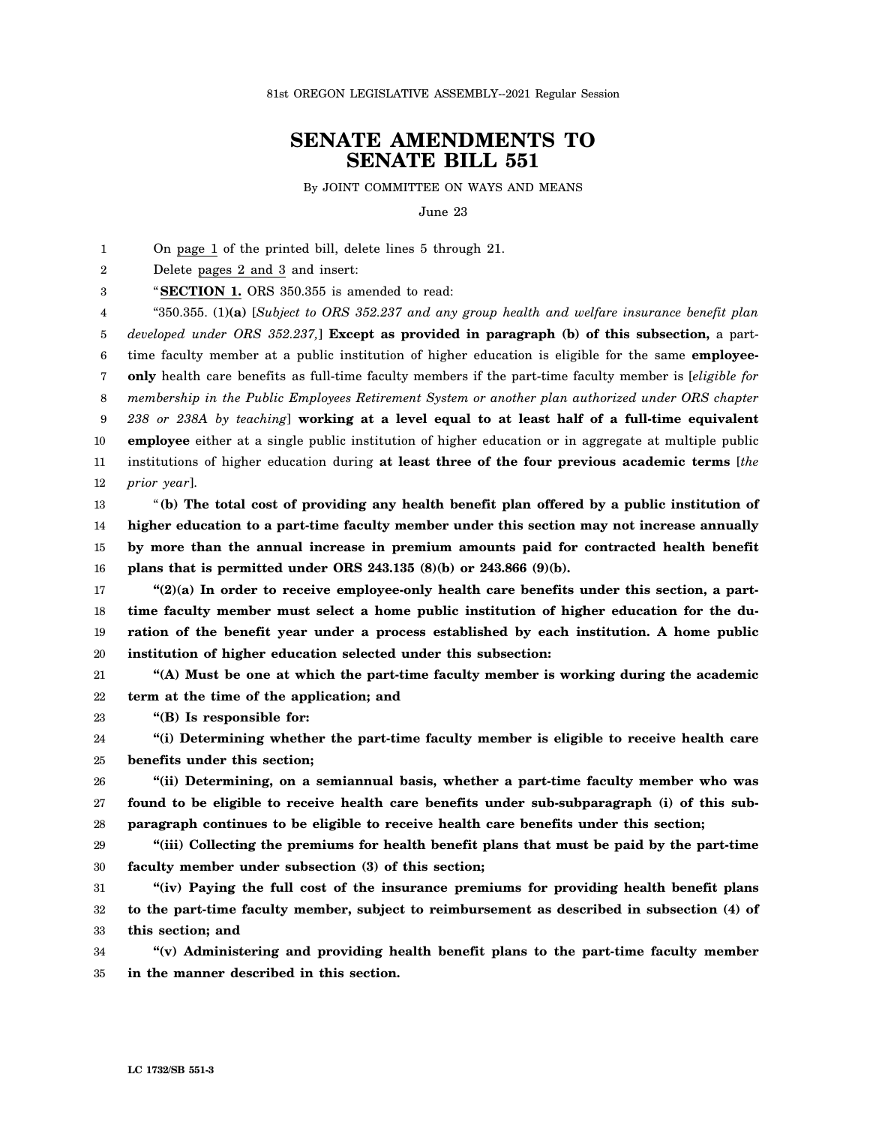## **SENATE AMENDMENTS TO SENATE BILL 551**

By JOINT COMMITTEE ON WAYS AND MEANS

June 23

1 On page 1 of the printed bill, delete lines 5 through 21.

2 Delete pages 2 and 3 and insert:

3 "**SECTION 1.** ORS 350.355 is amended to read:

4 5 6 7 8 9 10 11 12 "350.355. (1)**(a)** [*Subject to ORS 352.237 and any group health and welfare insurance benefit plan developed under ORS 352.237,*] **Except as provided in paragraph (b) of this subsection,** a parttime faculty member at a public institution of higher education is eligible for the same **employeeonly** health care benefits as full-time faculty members if the part-time faculty member is [*eligible for membership in the Public Employees Retirement System or another plan authorized under ORS chapter 238 or 238A by teaching*] **working at a level equal to at least half of a full-time equivalent employee** either at a single public institution of higher education or in aggregate at multiple public institutions of higher education during **at least three of the four previous academic terms** [*the prior year*].

13 14 15 16 "**(b) The total cost of providing any health benefit plan offered by a public institution of higher education to a part-time faculty member under this section may not increase annually by more than the annual increase in premium amounts paid for contracted health benefit plans that is permitted under ORS 243.135 (8)(b) or 243.866 (9)(b).**

17 18 19 20 **"(2)(a) In order to receive employee-only health care benefits under this section, a parttime faculty member must select a home public institution of higher education for the duration of the benefit year under a process established by each institution. A home public institution of higher education selected under this subsection:**

21 22 **"(A) Must be one at which the part-time faculty member is working during the academic term at the time of the application; and**

23 **"(B) Is responsible for:**

24 25 **"(i) Determining whether the part-time faculty member is eligible to receive health care benefits under this section;**

26 27 28 **"(ii) Determining, on a semiannual basis, whether a part-time faculty member who was found to be eligible to receive health care benefits under sub-subparagraph (i) of this subparagraph continues to be eligible to receive health care benefits under this section;**

29 30 **"(iii) Collecting the premiums for health benefit plans that must be paid by the part-time faculty member under subsection (3) of this section;**

31 32 33 **"(iv) Paying the full cost of the insurance premiums for providing health benefit plans to the part-time faculty member, subject to reimbursement as described in subsection (4) of this section; and**

34 35 **"(v) Administering and providing health benefit plans to the part-time faculty member in the manner described in this section.**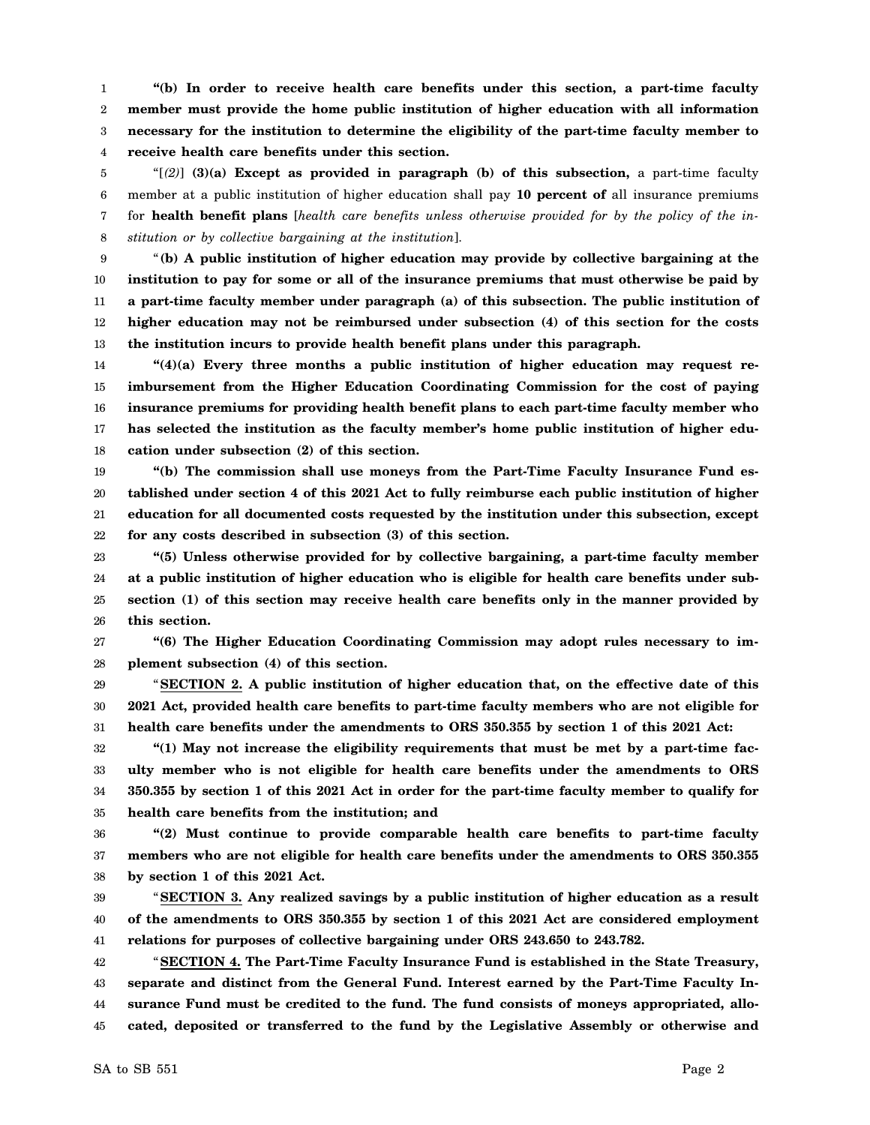1 2 3 4 **"(b) In order to receive health care benefits under this section, a part-time faculty member must provide the home public institution of higher education with all information necessary for the institution to determine the eligibility of the part-time faculty member to receive health care benefits under this section.**

5 6 7 8 "[*(2)*] **(3)(a) Except as provided in paragraph (b) of this subsection,** a part-time faculty member at a public institution of higher education shall pay **10 percent of** all insurance premiums for **health benefit plans** [*health care benefits unless otherwise provided for by the policy of the institution or by collective bargaining at the institution*].

9 10 11 12 13 "**(b) A public institution of higher education may provide by collective bargaining at the institution to pay for some or all of the insurance premiums that must otherwise be paid by a part-time faculty member under paragraph (a) of this subsection. The public institution of higher education may not be reimbursed under subsection (4) of this section for the costs the institution incurs to provide health benefit plans under this paragraph.**

14 15 16 17 18 **"(4)(a) Every three months a public institution of higher education may request reimbursement from the Higher Education Coordinating Commission for the cost of paying insurance premiums for providing health benefit plans to each part-time faculty member who has selected the institution as the faculty member's home public institution of higher education under subsection (2) of this section.**

19 20 21 22 **"(b) The commission shall use moneys from the Part-Time Faculty Insurance Fund established under section 4 of this 2021 Act to fully reimburse each public institution of higher education for all documented costs requested by the institution under this subsection, except for any costs described in subsection (3) of this section.**

23 24 25 26 **"(5) Unless otherwise provided for by collective bargaining, a part-time faculty member at a public institution of higher education who is eligible for health care benefits under subsection (1) of this section may receive health care benefits only in the manner provided by this section.**

27 28 **"(6) The Higher Education Coordinating Commission may adopt rules necessary to implement subsection (4) of this section.**

29 30 31 "**SECTION 2. A public institution of higher education that, on the effective date of this 2021 Act, provided health care benefits to part-time faculty members who are not eligible for health care benefits under the amendments to ORS 350.355 by section 1 of this 2021 Act:**

32 33 34 35 **"(1) May not increase the eligibility requirements that must be met by a part-time faculty member who is not eligible for health care benefits under the amendments to ORS 350.355 by section 1 of this 2021 Act in order for the part-time faculty member to qualify for health care benefits from the institution; and**

36 37 38 **"(2) Must continue to provide comparable health care benefits to part-time faculty members who are not eligible for health care benefits under the amendments to ORS 350.355 by section 1 of this 2021 Act.**

39 40 41 "**SECTION 3. Any realized savings by a public institution of higher education as a result of the amendments to ORS 350.355 by section 1 of this 2021 Act are considered employment relations for purposes of collective bargaining under ORS 243.650 to 243.782.**

42 43 44 45 "**SECTION 4. The Part-Time Faculty Insurance Fund is established in the State Treasury, separate and distinct from the General Fund. Interest earned by the Part-Time Faculty Insurance Fund must be credited to the fund. The fund consists of moneys appropriated, allocated, deposited or transferred to the fund by the Legislative Assembly or otherwise and**